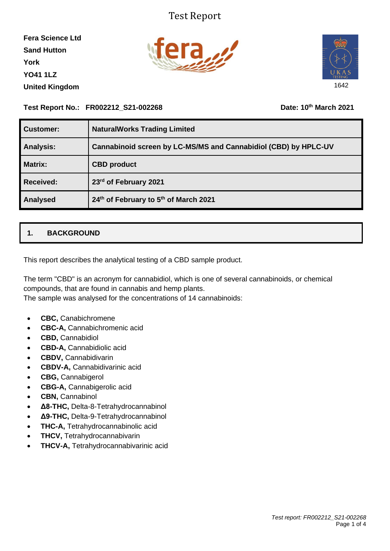## Test Report

**Fera Science Ltd Sand Hutton York YO41 1LZ United Kingdom**





#### **Test Report No.: FR002212\_S21-002268 Date: 10th March 2021**

| Customer:        | <b>NaturalWorks Trading Limited</b>                             |
|------------------|-----------------------------------------------------------------|
| <b>Analysis:</b> | Cannabinoid screen by LC-MS/MS and Cannabidiol (CBD) by HPLC-UV |
| <b>Matrix:</b>   | <b>CBD</b> product                                              |
| <b>Received:</b> | 23rd of February 2021                                           |
| Analysed         | 24th of February to 5th of March 2021                           |

### **1. BACKGROUND**

This report describes the analytical testing of a CBD sample product.

The term "CBD" is an acronym for cannabidiol, which is one of several cannabinoids, or chemical compounds, that are found in cannabis and hemp plants.

The sample was analysed for the concentrations of 14 cannabinoids:

- **CBC,** Canabichromene
- **CBC-A,** Cannabichromenic acid
- **CBD,** Cannabidiol
- **CBD-A,** Cannabidiolic acid
- **CBDV,** Cannabidivarin
- **CBDV-A,** Cannabidivarinic acid
- **CBG,** Cannabigerol
- **CBG-A,** Cannabigerolic acid
- **CBN,** Cannabinol
- **Δ8-THC,** Delta-8-Tetrahydrocannabinol
- **Δ9-THC,** Delta-9-Tetrahydrocannabinol
- **THC-A,** Tetrahydrocannabinolic acid
- **THCV,** Tetrahydrocannabivarin
- **THCV-A,** Tetrahydrocannabivarinic acid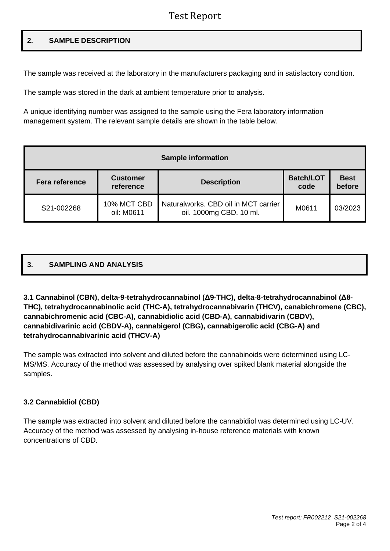## Test Report

#### **2. SAMPLE DESCRIPTION**

The sample was received at the laboratory in the manufacturers packaging and in satisfactory condition.

The sample was stored in the dark at ambient temperature prior to analysis.

A unique identifying number was assigned to the sample using the Fera laboratory information management system. The relevant sample details are shown in the table below.

| <b>Sample information</b> |                              |                                                                 |                          |                       |  |  |  |  |  |
|---------------------------|------------------------------|-----------------------------------------------------------------|--------------------------|-----------------------|--|--|--|--|--|
| <b>Fera reference</b>     | <b>Customer</b><br>reference | <b>Description</b>                                              | <b>Batch/LOT</b><br>code | <b>Best</b><br>before |  |  |  |  |  |
| S21-002268                | 10% MCT CBD<br>oil: M0611    | Naturalworks, CBD oil in MCT carrier<br>oil. 1000mg CBD. 10 ml. | M0611                    | 03/2023               |  |  |  |  |  |

# **3. SAMPLING AND ANALYSIS**

#### **3.1 Cannabinol (CBN), delta-9-tetrahydrocannabinol (Δ9-THC), delta-8-tetrahydrocannabinol (Δ8- THC), tetrahydrocannabinolic acid (THC-A), tetrahydrocannabivarin (THCV), canabichromene (CBC), cannabichromenic acid (CBC-A), cannabidiolic acid (CBD-A), cannabidivarin (CBDV), cannabidivarinic acid (CBDV-A), cannabigerol (CBG), cannabigerolic acid (CBG-A) and tetrahydrocannabivarinic acid (THCV-A)**

The sample was extracted into solvent and diluted before the cannabinoids were determined using LC-MS/MS. Accuracy of the method was assessed by analysing over spiked blank material alongside the samples.

#### **3.2 Cannabidiol (CBD)**

The sample was extracted into solvent and diluted before the cannabidiol was determined using LC-UV. Accuracy of the method was assessed by analysing in-house reference materials with known concentrations of CBD.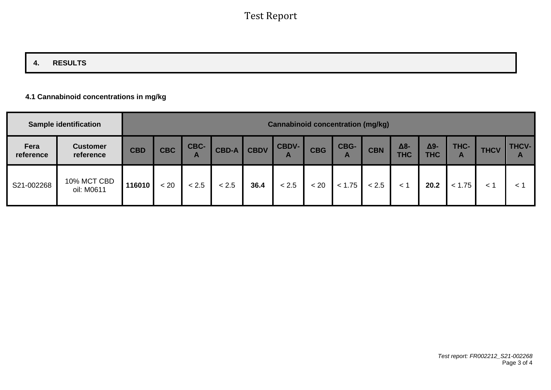## **4. RESULTS**

#### **4.1 Cannabinoid concentrations in mg/kg**

|                   | <b>Sample identification</b> | <b>Cannabinoid concentration (mg/kg)</b> |            |                      |              |             |                              |            |           |            |                   |                   |           |             |                              |
|-------------------|------------------------------|------------------------------------------|------------|----------------------|--------------|-------------|------------------------------|------------|-----------|------------|-------------------|-------------------|-----------|-------------|------------------------------|
| Fera<br>reference | <b>Customer</b><br>reference | <b>CBD</b>                               | <b>CBC</b> | CBC-<br>$\mathbf{A}$ | <b>CBD-A</b> | <b>CBDV</b> | <b>CBDV-</b><br>$\mathbf{A}$ | <b>CBG</b> | CBG-<br>n | <b>CBN</b> | Δ8-<br><b>THC</b> | Δ9-<br><b>THC</b> | THC-<br>A | <b>THCV</b> | <b>THCV-</b><br>$\mathbf{A}$ |
| S21-002268        | 10% MCT CBD<br>oil: M0611    | 116010                                   | < 20       | < 2.5                | < 2.5        | 36.4        | < 2.5                        | < 20       | < 1.75    | < 2.5      | 1 >               | 20.2              | < 1.75    | $\leq$ 1    | $\lt$                        |